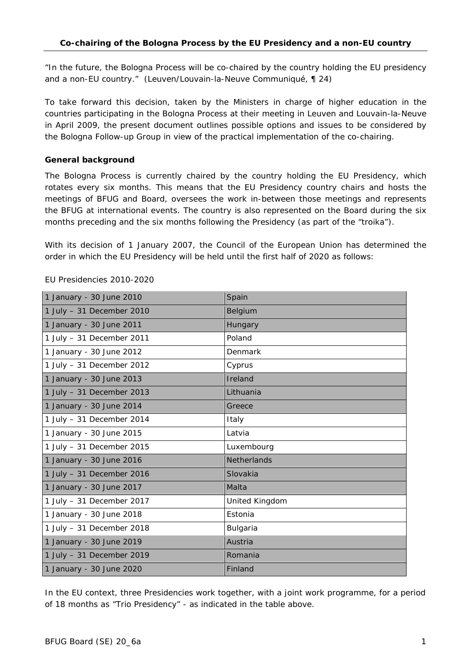*"In the future, the Bologna Process will be co-chaired by the country holding the EU presidency and a non-EU country."* (Leuven/Louvain-la-Neuve Communiqué, ¶ 24)

To take forward this decision, taken by the Ministers in charge of higher education in the countries participating in the Bologna Process at their meeting in Leuven and Louvain-la-Neuve in April 2009, the present document outlines possible options and issues to be considered by the Bologna Follow-up Group in view of the practical implementation of the co-chairing.

### **General background**

The Bologna Process is currently chaired by the country holding the EU Presidency, which rotates every six months. This means that the EU Presidency country chairs and hosts the meetings of BFUG and Board, oversees the work in-between those meetings and represents the BFUG at international events. The country is also represented on the Board during the six months preceding and the six months following the Presidency (as part of the "troika").

With its decision of 1 January 2007, the Council of the European Union has determined the order in which the EU Presidency will be held until the first half of 2020 as follows:

| 1 January - 30 June 2010  | Spain              |
|---------------------------|--------------------|
| 1 July - 31 December 2010 | Belgium            |
| 1 January - 30 June 2011  | Hungary            |
| 1 July - 31 December 2011 | Poland             |
| 1 January - 30 June 2012  | Denmark            |
| 1 July - 31 December 2012 | Cyprus             |
| 1 January - 30 June 2013  | Ireland            |
| 1 July - 31 December 2013 | Lithuania          |
| 1 January - 30 June 2014  | Greece             |
| 1 July - 31 December 2014 | Italy              |
| 1 January - 30 June 2015  | Latvia             |
| 1 July - 31 December 2015 | Luxembourg         |
| 1 January - 30 June 2016  | <b>Netherlands</b> |
| 1 July - 31 December 2016 | Slovakia           |
| 1 January - 30 June 2017  | Malta              |
| 1 July - 31 December 2017 | United Kingdom     |
| 1 January - 30 June 2018  | Estonia            |
| 1 July - 31 December 2018 | Bulgaria           |
| 1 January - 30 June 2019  | Austria            |
| 1 July - 31 December 2019 | Romania            |
| 1 January - 30 June 2020  | Finland            |

### *EU Presidencies 2010-2020*

In the EU context, three Presidencies work together, with a joint work programme, for a period of 18 months as "Trio Presidency" - as indicated in the table above.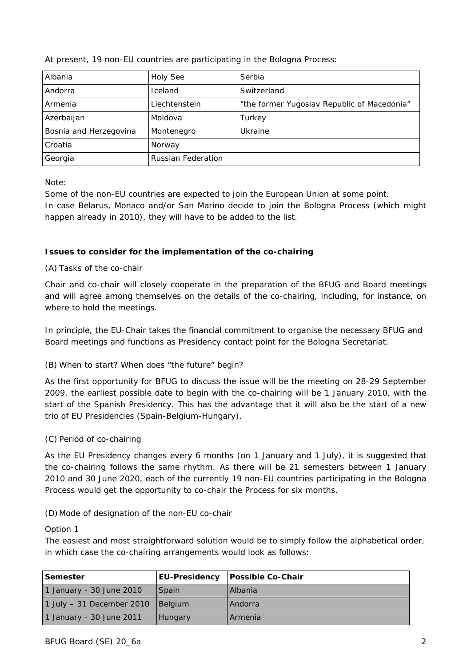| Albania                | <b>Holy See</b>           | Serbia                                      |
|------------------------|---------------------------|---------------------------------------------|
| Andorra                | Iceland                   | Switzerland                                 |
| Armenia                | Liechtenstein             | "the former Yugoslav Republic of Macedonia" |
| Azerbaijan             | Moldova                   | Turkey                                      |
| Bosnia and Herzegovina | Montenegro                | Ukraine                                     |
| Croatia                | Norway                    |                                             |
| Georgia                | <b>Russian Federation</b> |                                             |

*At present, 19 non-EU countries are participating in the Bologna Process:* 

*Note:* 

Some of the non-EU countries are expected to join the European Union at some point. In case Belarus, Monaco and/or San Marino decide to join the Bologna Process (which might

happen already in 2010), they will have to be added to the list.

# **Issues to consider for the implementation of the co-chairing**

# *(A) Tasks of the co-chair*

Chair and co-chair will closely cooperate in the preparation of the BFUG and Board meetings and will agree among themselves on the details of the co-chairing, including, for instance, on where to hold the meetings.

In principle, the EU-Chair takes the financial commitment to organise the necessary BFUG and Board meetings and functions as Presidency contact point for the Bologna Secretariat.

# *(B) When to start? When does "the future" begin?*

As the first opportunity for BFUG to discuss the issue will be the meeting on 28-29 September 2009, the earliest possible date to begin with the co-chairing will be 1 January 2010, with the start of the Spanish Presidency. This has the advantage that it will also be the start of a new trio of EU Presidencies (Spain-Belgium-Hungary).

# *(C) Period of co-chairing*

As the EU Presidency changes every 6 months (on 1 January and 1 July), it is suggested that the co-chairing follows the same rhythm. As there will be 21 semesters between 1 January 2010 and 30 June 2020, each of the currently 19 non-EU countries participating in the Bologna Process would get the opportunity to co-chair the Process for six months.

## *(D)Mode of designation of the non-EU co-chair*

## Option 1

The easiest and most straightforward solution would be to simply follow the *alphabetical order*, in which case the co-chairing arrangements would look as follows:

| Semester                   | <b>EU-Presidency</b> | <b>Possible Co-Chair</b> |
|----------------------------|----------------------|--------------------------|
| 1 January - 30 June 2010   | Spain                | <b>Albania</b>           |
| 1 July $-31$ December 2010 | <b>I</b> Belaium     | Andorra                  |
| 1 January - 30 June 2011   | <b>Hungary</b>       | Armenia                  |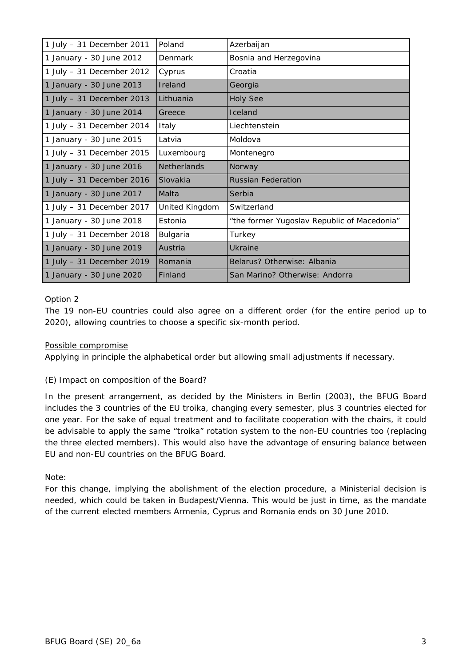| 1 July $-31$ December 2011 | Poland             | Azerbaijan                                  |
|----------------------------|--------------------|---------------------------------------------|
| 1 January - 30 June 2012   | Denmark            | Bosnia and Herzegovina                      |
| 1 July $-31$ December 2012 | Cyprus             | Croatia                                     |
| 1 January - 30 June 2013   | Ireland            | Georgia                                     |
| 1 July - 31 December 2013  | Lithuania          | <b>Holy See</b>                             |
| 1 January - 30 June 2014   | Greece             | Iceland                                     |
| 1 July - 31 December 2014  | Italy              | Liechtenstein                               |
| 1 January - 30 June 2015   | Latvia             | Moldova                                     |
| 1 July - 31 December 2015  | Luxembourg         | Montenegro                                  |
| 1 January - 30 June 2016   | <b>Netherlands</b> | Norway                                      |
|                            |                    |                                             |
| 1 July - 31 December 2016  | Slovakia           | <b>Russian Federation</b>                   |
| 1 January - 30 June 2017   | Malta              | Serbia                                      |
| 1 July - 31 December 2017  | United Kingdom     | Switzerland                                 |
| 1 January - 30 June 2018   | Estonia            | "the former Yugoslav Republic of Macedonia" |
| 1 July - 31 December 2018  | Bulgaria           | Turkey                                      |
| 1 January - 30 June 2019   | Austria            | <b>Ukraine</b>                              |
| 1 July - 31 December 2019  | Romania            | Belarus? Otherwise: Albania                 |

### Option 2

The 19 non-EU countries could also agree on a different order (for the entire period up to 2020), allowing countries to *choose a specific six-month period*.

### Possible compromise

Applying in principle the alphabetical order but allowing small adjustments if necessary.

### *(E) Impact on composition of the Board?*

In the present arrangement, as decided by the Ministers in Berlin (2003), the BFUG Board includes the 3 countries of the EU troika, changing every semester, plus 3 countries elected for one year. For the sake of equal treatment and to facilitate cooperation with the chairs, it could be advisable to apply the same "troika" rotation system to the non-EU countries too (replacing the three elected members). This would also have the advantage of ensuring balance between EU and non-EU countries on the BFUG Board.

### *Note*:

For this change, implying the abolishment of the election procedure, a Ministerial decision is needed, which could be taken in Budapest/Vienna. This would be just in time, as the mandate of the current elected members Armenia, Cyprus and Romania ends on 30 June 2010.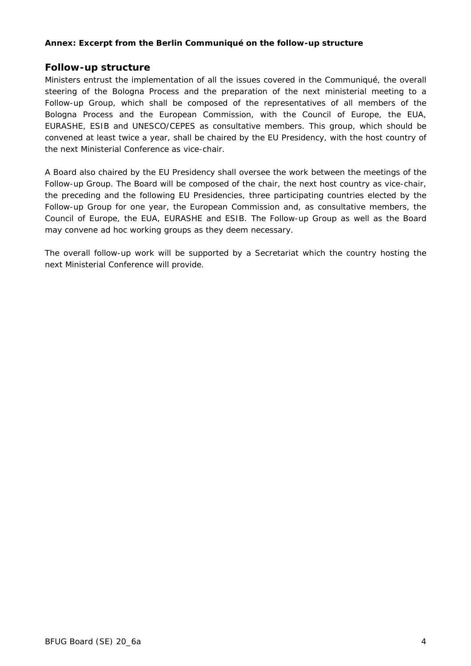### **Annex: Excerpt from the Berlin Communiqué on the follow-up structure**

## *Follow-up structure*

Ministers entrust the implementation of all the issues covered in the Communiqué, the overall steering of the Bologna Process and the preparation of the next ministerial meeting to a Follow-up Group, which shall be composed of the representatives of all members of the Bologna Process and the European Commission, with the Council of Europe, the EUA, EURASHE, ESIB and UNESCO/CEPES as consultative members. This group, which should be convened at least twice a year, shall be chaired by the EU Presidency, with the host country of the next Ministerial Conference as vice-chair.

A Board also chaired by the EU Presidency shall oversee the work between the meetings of the Follow-up Group. The Board will be composed of the chair, the next host country as vice-chair, the preceding and the following EU Presidencies, three participating countries elected by the Follow-up Group for one year, the European Commission and, as consultative members, the Council of Europe, the EUA, EURASHE and ESIB. The Follow-up Group as well as the Board may convene ad hoc working groups as they deem necessary.

The overall follow-up work will be supported by a Secretariat which the country hosting the next Ministerial Conference will provide.